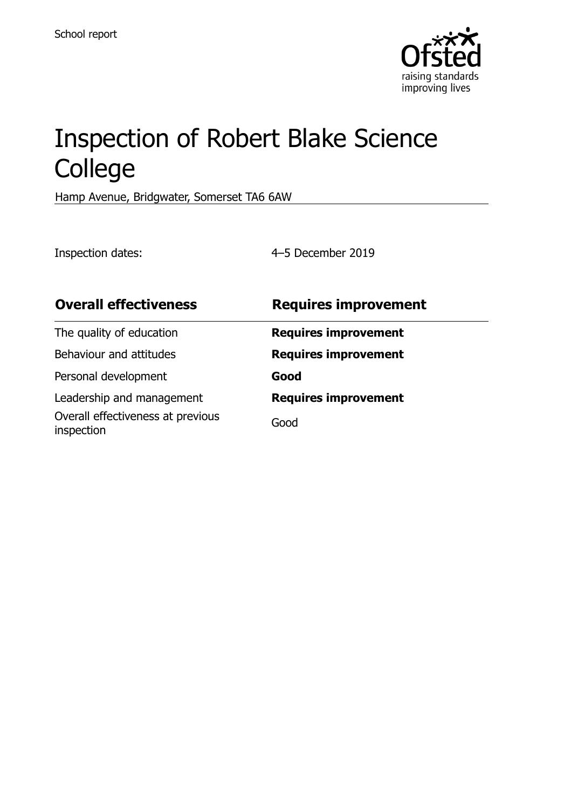

# Inspection of Robert Blake Science College

Hamp Avenue, Bridgwater, Somerset TA6 6AW

Inspection dates: 4–5 December 2019

| <b>Overall effectiveness</b>                    | <b>Requires improvement</b> |
|-------------------------------------------------|-----------------------------|
| The quality of education                        | <b>Requires improvement</b> |
| Behaviour and attitudes                         | <b>Requires improvement</b> |
| Personal development                            | Good                        |
| Leadership and management                       | <b>Requires improvement</b> |
| Overall effectiveness at previous<br>inspection | Good                        |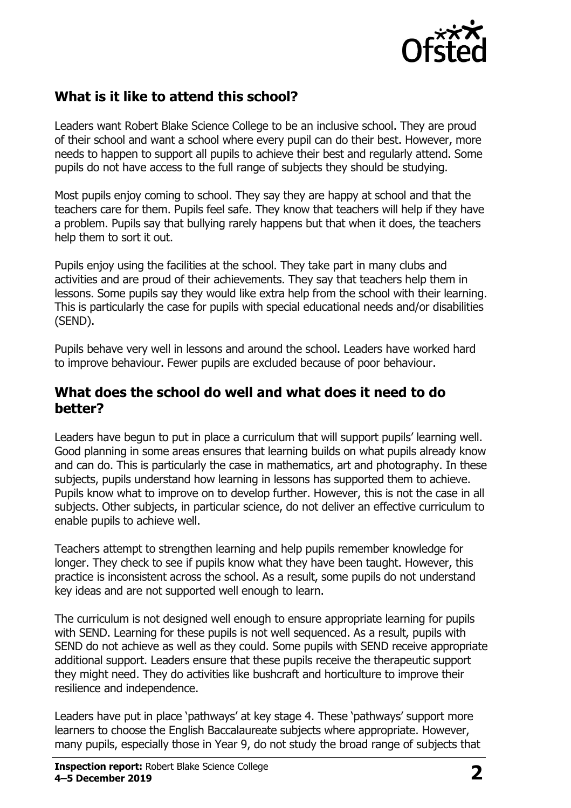

## **What is it like to attend this school?**

Leaders want Robert Blake Science College to be an inclusive school. They are proud of their school and want a school where every pupil can do their best. However, more needs to happen to support all pupils to achieve their best and regularly attend. Some pupils do not have access to the full range of subjects they should be studying.

Most pupils enjoy coming to school. They say they are happy at school and that the teachers care for them. Pupils feel safe. They know that teachers will help if they have a problem. Pupils say that bullying rarely happens but that when it does, the teachers help them to sort it out.

Pupils enjoy using the facilities at the school. They take part in many clubs and activities and are proud of their achievements. They say that teachers help them in lessons. Some pupils say they would like extra help from the school with their learning. This is particularly the case for pupils with special educational needs and/or disabilities (SEND).

Pupils behave very well in lessons and around the school. Leaders have worked hard to improve behaviour. Fewer pupils are excluded because of poor behaviour.

#### **What does the school do well and what does it need to do better?**

Leaders have begun to put in place a curriculum that will support pupils' learning well. Good planning in some areas ensures that learning builds on what pupils already know and can do. This is particularly the case in mathematics, art and photography. In these subjects, pupils understand how learning in lessons has supported them to achieve. Pupils know what to improve on to develop further. However, this is not the case in all subjects. Other subjects, in particular science, do not deliver an effective curriculum to enable pupils to achieve well.

Teachers attempt to strengthen learning and help pupils remember knowledge for longer. They check to see if pupils know what they have been taught. However, this practice is inconsistent across the school. As a result, some pupils do not understand key ideas and are not supported well enough to learn.

The curriculum is not designed well enough to ensure appropriate learning for pupils with SEND. Learning for these pupils is not well sequenced. As a result, pupils with SEND do not achieve as well as they could. Some pupils with SEND receive appropriate additional support. Leaders ensure that these pupils receive the therapeutic support they might need. They do activities like bushcraft and horticulture to improve their resilience and independence.

Leaders have put in place 'pathways' at key stage 4. These 'pathways' support more learners to choose the English Baccalaureate subjects where appropriate. However, many pupils, especially those in Year 9, do not study the broad range of subjects that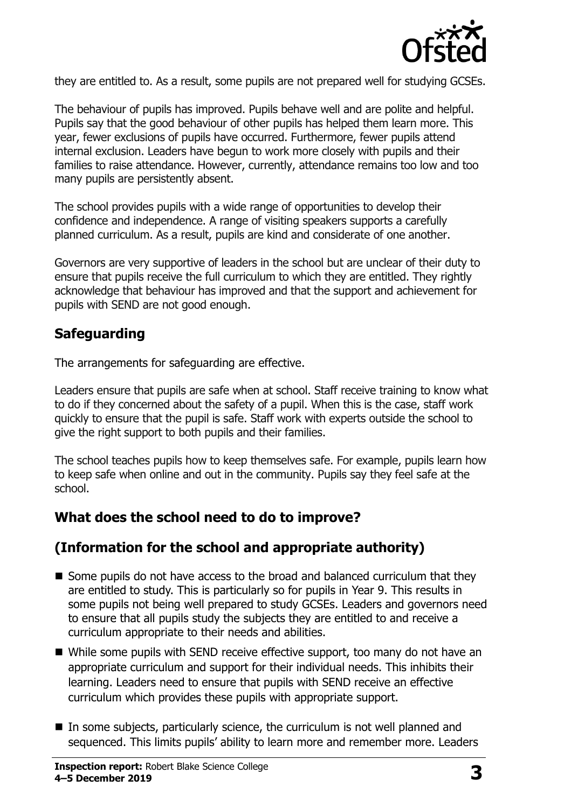

they are entitled to. As a result, some pupils are not prepared well for studying GCSEs.

The behaviour of pupils has improved. Pupils behave well and are polite and helpful. Pupils say that the good behaviour of other pupils has helped them learn more. This year, fewer exclusions of pupils have occurred. Furthermore, fewer pupils attend internal exclusion. Leaders have begun to work more closely with pupils and their families to raise attendance. However, currently, attendance remains too low and too many pupils are persistently absent.

The school provides pupils with a wide range of opportunities to develop their confidence and independence. A range of visiting speakers supports a carefully planned curriculum. As a result, pupils are kind and considerate of one another.

Governors are very supportive of leaders in the school but are unclear of their duty to ensure that pupils receive the full curriculum to which they are entitled. They rightly acknowledge that behaviour has improved and that the support and achievement for pupils with SEND are not good enough.

## **Safeguarding**

The arrangements for safeguarding are effective.

Leaders ensure that pupils are safe when at school. Staff receive training to know what to do if they concerned about the safety of a pupil. When this is the case, staff work quickly to ensure that the pupil is safe. Staff work with experts outside the school to give the right support to both pupils and their families.

The school teaches pupils how to keep themselves safe. For example, pupils learn how to keep safe when online and out in the community. Pupils say they feel safe at the school.

## **What does the school need to do to improve?**

## **(Information for the school and appropriate authority)**

- $\blacksquare$  Some pupils do not have access to the broad and balanced curriculum that they are entitled to study. This is particularly so for pupils in Year 9. This results in some pupils not being well prepared to study GCSEs. Leaders and governors need to ensure that all pupils study the subjects they are entitled to and receive a curriculum appropriate to their needs and abilities.
- While some pupils with SEND receive effective support, too many do not have an appropriate curriculum and support for their individual needs. This inhibits their learning. Leaders need to ensure that pupils with SEND receive an effective curriculum which provides these pupils with appropriate support.
- In some subjects, particularly science, the curriculum is not well planned and sequenced. This limits pupils' ability to learn more and remember more. Leaders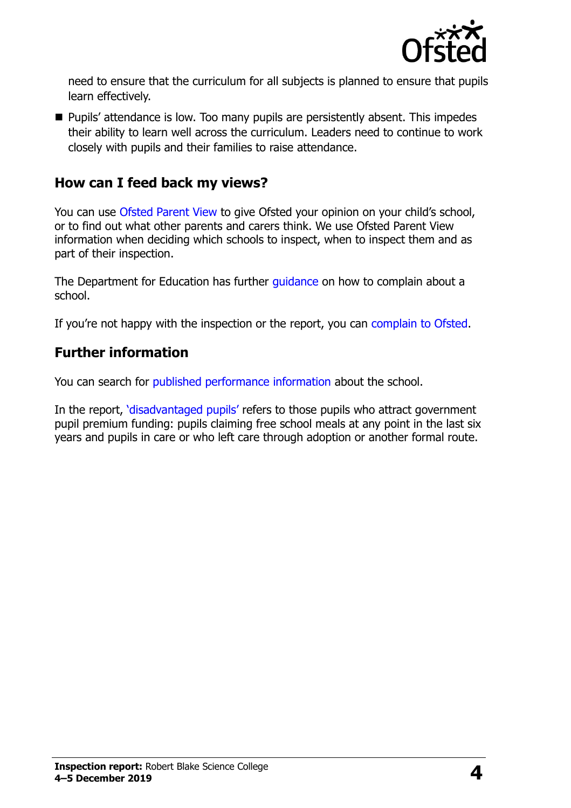

need to ensure that the curriculum for all subjects is planned to ensure that pupils learn effectively.

**Pupils'** attendance is low. Too many pupils are persistently absent. This impedes their ability to learn well across the curriculum. Leaders need to continue to work closely with pupils and their families to raise attendance.

### **How can I feed back my views?**

You can use [Ofsted Parent View](http://parentview.ofsted.gov.uk/) to give Ofsted your opinion on your child's school, or to find out what other parents and carers think. We use Ofsted Parent View information when deciding which schools to inspect, when to inspect them and as part of their inspection.

The Department for Education has further quidance on how to complain about a school.

If you're not happy with the inspection or the report, you can [complain to Ofsted.](http://www.gov.uk/complain-ofsted-report)

## **Further information**

You can search for [published performance information](http://www.compare-school-performance.service.gov.uk/) about the school.

In the report, '[disadvantaged pupils](http://www.gov.uk/guidance/pupil-premium-information-for-schools-and-alternative-provision-settings)' refers to those pupils who attract government pupil premium funding: pupils claiming free school meals at any point in the last six years and pupils in care or who left care through adoption or another formal route.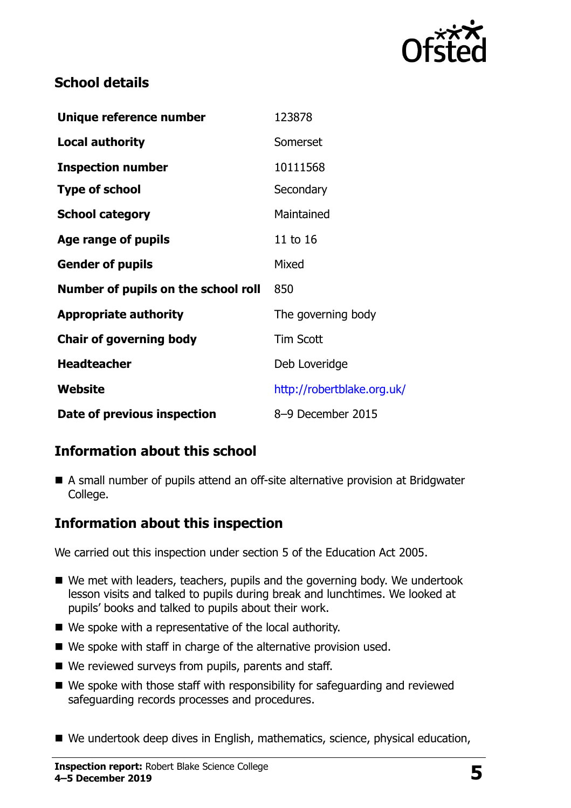

## **School details**

| Unique reference number             | 123878                     |  |
|-------------------------------------|----------------------------|--|
| <b>Local authority</b>              | Somerset                   |  |
| <b>Inspection number</b>            | 10111568                   |  |
| <b>Type of school</b>               | Secondary                  |  |
| <b>School category</b>              | Maintained                 |  |
| Age range of pupils                 | 11 to 16                   |  |
| <b>Gender of pupils</b>             | Mixed                      |  |
| Number of pupils on the school roll | 850                        |  |
| <b>Appropriate authority</b>        | The governing body         |  |
| <b>Chair of governing body</b>      | <b>Tim Scott</b>           |  |
| <b>Headteacher</b>                  | Deb Loveridge              |  |
| Website                             | http://robertblake.org.uk/ |  |
| Date of previous inspection         | 8-9 December 2015          |  |

## **Information about this school**

■ A small number of pupils attend an off-site alternative provision at Bridgwater College.

## **Information about this inspection**

We carried out this inspection under section 5 of the Education Act 2005.

- We met with leaders, teachers, pupils and the governing body. We undertook lesson visits and talked to pupils during break and lunchtimes. We looked at pupils' books and talked to pupils about their work.
- We spoke with a representative of the local authority.
- We spoke with staff in charge of the alternative provision used.
- We reviewed surveys from pupils, parents and staff.
- We spoke with those staff with responsibility for safeguarding and reviewed safeguarding records processes and procedures.
- We undertook deep dives in English, mathematics, science, physical education,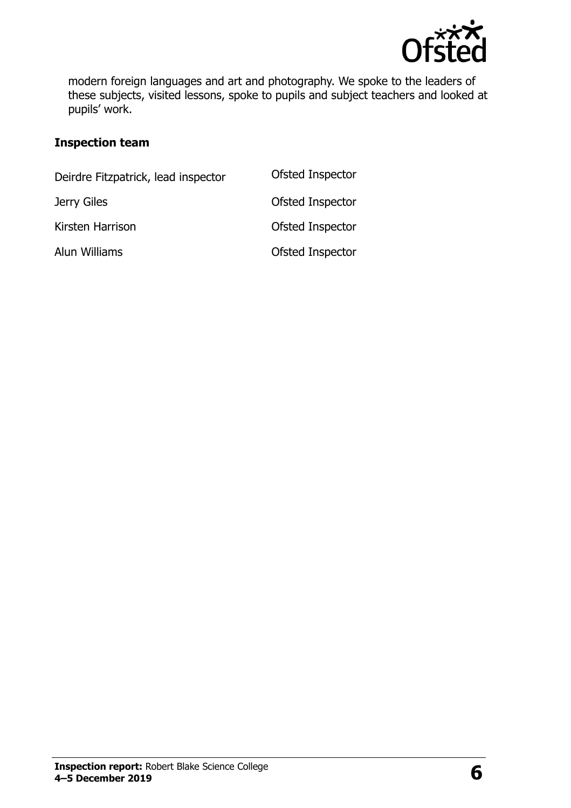

modern foreign languages and art and photography. We spoke to the leaders of these subjects, visited lessons, spoke to pupils and subject teachers and looked at pupils' work.

#### **Inspection team**

| Deirdre Fitzpatrick, lead inspector | Ofsted Inspector |
|-------------------------------------|------------------|
| Jerry Giles                         | Ofsted Inspector |
| Kirsten Harrison                    | Ofsted Inspector |
| Alun Williams                       | Ofsted Inspector |